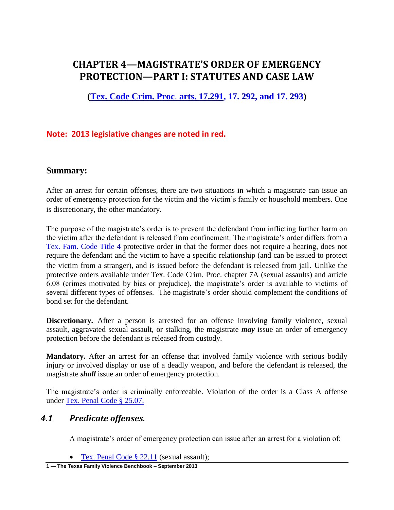# **CHAPTER 4—MAGISTRATE'S ORDER OF EMERGENCY PROTECTION—PART I: STATUTES AND CASE LAW**

**[\(Tex. Code Crim. Proc](http://www.lexis.com/research/xlink?app=00075&view=full&searchtype=get&search=Tex.+Code+Crim.+Proc.+art.+17.291)**. **arts. 17.291, 17. 292, and 17. 293)**

# **Note: 2013 legislative changes are noted in red.**

### **Summary:**

After an arrest for certain offenses, there are two situations in which a magistrate can issue an order of emergency protection for the victim and the victim's family or household members. One is discretionary, the other mandatory.

The purpose of the magistrate's order is to prevent the defendant from inflicting further harm on the victim after the defendant is released from confinement. The magistrate's order differs from a [Tex. Fam. Code Title 4](http://www.lexis.com/research/slft?cite=54582046616D696C7920436F6465205469746C652034&keyenum=15452&keytnum=0) protective order in that the former does not require a hearing, does not require the defendant and the victim to have a specific relationship (and can be issued to protect the victim from a stranger), and is issued before the defendant is released from jail. Unlike the protective orders available under Tex. Code Crim. Proc. chapter 7A (sexual assaults) and article 6.08 (crimes motivated by bias or prejudice), the magistrate's order is available to victims of several different types of offenses. The magistrate's order should complement the conditions of bond set for the defendant.

**Discretionary.** After a person is arrested for an offense involving family violence, sexual assault, aggravated sexual assault, or stalking, the magistrate *may* issue an order of emergency protection before the defendant is released from custody.

**Mandatory.** After an arrest for an offense that involved family violence with serious bodily injury or involved display or use of a deadly weapon, and before the defendant is released, the magistrate *shall* issue an order of emergency protection.

The magistrate's order is criminally enforceable. Violation of the order is a Class A offense under [Tex. Penal Code § 25.07.](http://www.lexis.com/research/slft?cite=54582050656E616C20436F646520A72032352E30372E&keyenum=15452&keytnum=0)

### *4.1 Predicate offenses.*

A magistrate's order of emergency protection can issue after an arrest for a violation of:

• [Tex. Penal Code § 22.11](http://www.lexis.com/research/slft?cite=54582050656E616C20436F646520A72032322E3131&keyenum=15452&keytnum=0) (sexual assault);

**1 — The Texas Family Violence Benchbook – September 2013**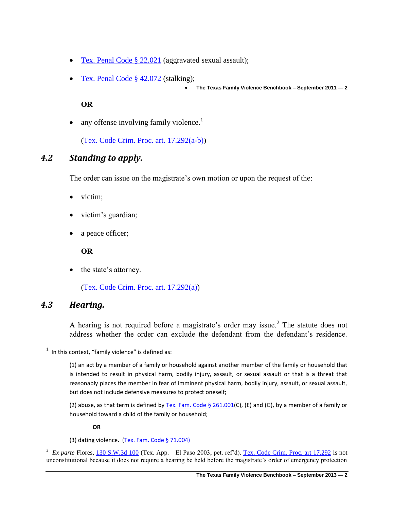- [Tex. Penal Code § 22.021](http://www.lexis.com/research/slft?cite=54582050656E616C20436F646520A72032322E303231&keyenum=15452&keytnum=0) (aggravated sexual assault);
- [Tex. Penal Code § 42.072](http://www.lexis.com/research/slft?cite=54582050656E616C20436F646520A72034322E303732&keyenum=15452&keytnum=0) (stalking);

**The Texas Family Violence Benchbook – September 2011 — 2**

**OR**

• any offense involving family violence.<sup>1</sup>

[\(Tex. Code Crim. Proc. art. 17.292\(](http://www.lexis.com/research/slft?cite=5465782E20436F6465204372696D2E2050726F632E206172742E2031372E323932&keyenum=15452&keytnum=0)a-b))

# *4.2 Standing to apply.*

The order can issue on the magistrate's own motion or upon the request of the:

- victim;
- victim's guardian;
- a peace officer;

**OR**

• the state's attorney.

[\(Tex. Code Crim. Proc. art. 17.292\(](http://www.lexis.com/research/slft?cite=5465782E20436F6465204372696D2E2050726F632E206172742E2031372E323932&keyenum=15452&keytnum=0)a))

# *4.3 Hearing.*

 $\overline{\phantom{a}}$ 

A hearing is not required before a magistrate's order may issue.<sup>2</sup> The statute does not address whether the order can exclude the defendant from the defendant's residence.

(2) abuse, as that term is defined by Tex. Fam. Code  $\S$  261.001(C), (E) and (G), by a member of a family or household toward a child of the family or household;

#### **OR**

(3) dating violence. [\(Tex. Fam. Code § 71.004\)](http://www.lexis.com/research/slft?cite=54582046616D696C7920436F646520A72037312E30303429&keyenum=15452&keytnum=0)

<sup>2</sup> *Ex parte* Flores, [130 S.W.3d 100](http://www.lexis.com/research/slft?cite=31333020532E572E336420313030&keyenum=15451&keytnum=0) (Tex. App.—El Paso 2003, pet. ref'd). [Tex. Code Crim. Proc. art 17.292](http://www.lexis.com/research/slft?cite=5465782E20436F6465204372696D2E2050726F632E206172742E2031372E323932&keyenum=15452&keytnum=0) is not unconstitutional because it does not require a hearing be held before the magistrate's order of emergency protection

 $1$  In this context, "family violence" is defined as:

<sup>(1)</sup> an act by a member of a family or household against another member of the family or household that is intended to result in physical harm, bodily injury, assault, or sexual assault or that is a threat that reasonably places the member in fear of imminent physical harm, bodily injury, assault, or sexual assault, but does not include defensive measures to protect oneself;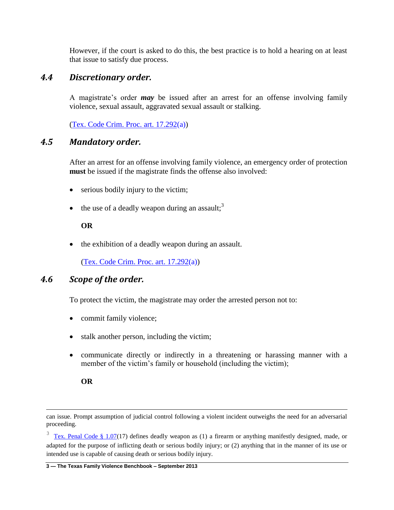However, if the court is asked to do this, the best practice is to hold a hearing on at least that issue to satisfy due process.

# *4.4 Discretionary order.*

A magistrate's order *may* be issued after an arrest for an offense involving family violence, sexual assault, aggravated sexual assault or stalking.

[\(Tex. Code Crim. Proc. art. 17.292\(](http://www.lexis.com/research/slft?cite=5465782E20436F6465204372696D2E2050726F632E206172742E2031372E323932&keyenum=15452&keytnum=0)a))

### *4.5 Mandatory order.*

After an arrest for an offense involving family violence, an emergency order of protection **must** be issued if the magistrate finds the offense also involved:

- serious bodily injury to the victim;
- the use of a deadly weapon during an assault;<sup>3</sup>

### **OR**

• the exhibition of a deadly weapon during an assault.

[\(Tex. Code Crim. Proc. art. 17.292\(](http://www.lexis.com/research/slft?cite=5465782E20436F6465204372696D2E2050726F632E206172742E2031372E323932&keyenum=15452&keytnum=0)a))

## *4.6 Scope of the order.*

To protect the victim, the magistrate may order the arrested person not to:

- commit family violence;
- stalk another person, including the victim;
- communicate directly or indirectly in a threatening or harassing manner with a member of the victim's family or household (including the victim);

l

**OR**

can issue. Prompt assumption of judicial control following a violent incident outweighs the need for an adversarial proceeding.

 $3 \text{ Tex}$ . Penal Code § 1.07(17) defines deadly weapon as (1) a firearm or anything manifestly designed, made, or adapted for the purpose of inflicting death or serious bodily injury; or (2) anything that in the manner of its use or intended use is capable of causing death or serious bodily injury.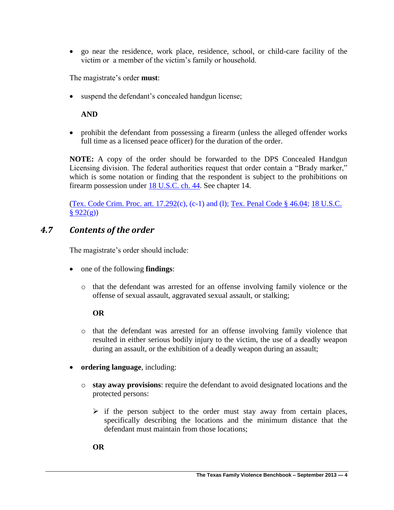go near the residence, work place, residence, school, or child-care facility of the victim or a member of the victim's family or household.

The magistrate's order **must**:

• suspend the defendant's concealed handgun license;

### **AND**

 prohibit the defendant from possessing a firearm (unless the alleged offender works full time as a licensed peace officer) for the duration of the order.

**NOTE:** A copy of the order should be forwarded to the DPS Concealed Handgun Licensing division. The federal authorities request that order contain a "Brady marker," which is some notation or finding that the respondent is subject to the prohibitions on firearm possession under [18 U.S.C. ch. 44.](http://www.lexis.com/research/slft?cite=313820552E532E20203434&keyenum=15451&keytnum=0) See chapter 14.

[\(Tex. Code Crim. Proc. art. 17.292\(](http://www.lexis.com/research/slft?cite=5465782E20436F6465204372696D2E2050726F632E206172742E2031372E323932&keyenum=15452&keytnum=0)c), (c-1) and (l); [Tex. Penal Code § 46.04;](http://www.lexis.com/research/slft?cite=54582050656E616C20436F646520A72034362E3034&keyenum=15452&keytnum=0) [18 U.S.C.](http://www.lexis.com/research/slft?cite=31382055534320A720393232&keyenum=15452&keytnum=0)   $§ 922(g))$  $§ 922(g))$ 

# *4.7 Contents of the order*

The magistrate's order should include:

- one of the following **findings**:
	- o that the defendant was arrested for an offense involving family violence or the offense of sexual assault, aggravated sexual assault, or stalking;

### **OR**

- o that the defendant was arrested for an offense involving family violence that resulted in either serious bodily injury to the victim, the use of a deadly weapon during an assault, or the exhibition of a deadly weapon during an assault;
- **ordering language**, including:
	- o **stay away provisions**: require the defendant to avoid designated locations and the protected persons:
		- $\triangleright$  if the person subject to the order must stay away from certain places, specifically describing the locations and the minimum distance that the defendant must maintain from those locations;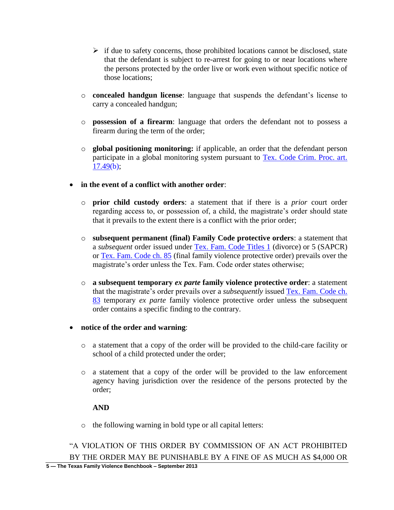- $\triangleright$  if due to safety concerns, those prohibited locations cannot be disclosed, state that the defendant is subject to re-arrest for going to or near locations where the persons protected by the order live or work even without specific notice of those locations;
- o **concealed handgun license**: language that suspends the defendant's license to carry a concealed handgun;
- o **possession of a firearm**: language that orders the defendant not to possess a firearm during the term of the order;
- o **global positioning monitoring:** if applicable, an order that the defendant person participate in a global monitoring system pursuant to [Tex. Code Crim. Proc. art.](http://www.lexis.com/research/slft?cite=5465782E20436F6465204372696D2E2050726F632E206172742E2031372E3439&keyenum=15452&keytnum=0)  [17.49\(](http://www.lexis.com/research/slft?cite=5465782E20436F6465204372696D2E2050726F632E206172742E2031372E3439&keyenum=15452&keytnum=0)b);
- **in the event of a conflict with another order**:
	- o **prior child custody orders**: a statement that if there is a *prior* court order regarding access to, or possession of, a child, the magistrate's order should state that it prevails to the extent there is a conflict with the prior order;
	- o **subsequent permanent (final) Family Code protective orders**: a statement that a *subsequent* order issued under [Tex. Fam. Code Titles 1](http://www.lexis.com/research/slft?cite=54582046616D696C7920436F6465205469746C65732031&keyenum=15452&keytnum=0) (divorce) or 5 (SAPCR) or [Tex. Fam. Code ch. 85](http://www.lexis.com/research/slft?cite=54582046616D696C7920436F64652063682E203835&keyenum=15452&keytnum=0) (final family violence protective order) prevails over the magistrate's order unless the Tex. Fam. Code order states otherwise;
	- o **a subsequent temporary** *ex parte* **family violence protective order**: a statement that the magistrate's order prevails over a *subsequently* issued [Tex. Fam. Code ch.](http://www.lexis.com/research/slft?cite=54582046616D696C7920436F64652063682E203833&keyenum=15452&keytnum=0)  [83](http://www.lexis.com/research/slft?cite=54582046616D696C7920436F64652063682E203833&keyenum=15452&keytnum=0) temporary *ex parte* family violence protective order unless the subsequent order contains a specific finding to the contrary.

### **notice of the order and warning**:

- o a statement that a copy of the order will be provided to the child-care facility or school of a child protected under the order;
- o a statement that a copy of the order will be provided to the law enforcement agency having jurisdiction over the residence of the persons protected by the order;

### **AND**

o the following warning in bold type or all capital letters:

**5 — The Texas Family Violence Benchbook – September 2013** "A VIOLATION OF THIS ORDER BY COMMISSION OF AN ACT PROHIBITED BY THE ORDER MAY BE PUNISHABLE BY A FINE OF AS MUCH AS \$4,000 OR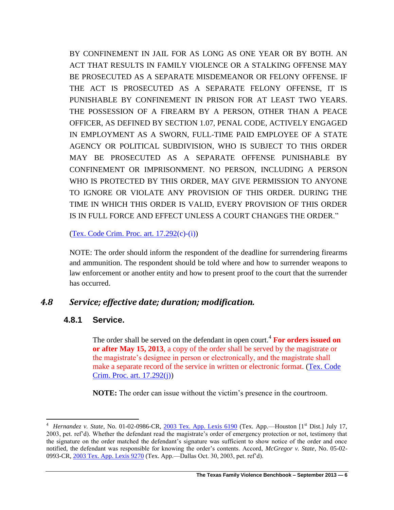BY CONFINEMENT IN JAIL FOR AS LONG AS ONE YEAR OR BY BOTH. AN ACT THAT RESULTS IN FAMILY VIOLENCE OR A STALKING OFFENSE MAY BE PROSECUTED AS A SEPARATE MISDEMEANOR OR FELONY OFFENSE. IF THE ACT IS PROSECUTED AS A SEPARATE FELONY OFFENSE, IT IS PUNISHABLE BY CONFINEMENT IN PRISON FOR AT LEAST TWO YEARS. THE POSSESSION OF A FIREARM BY A PERSON, OTHER THAN A PEACE OFFICER, AS DEFINED BY SECTION 1.07, PENAL CODE, ACTIVELY ENGAGED IN EMPLOYMENT AS A SWORN, FULL-TIME PAID EMPLOYEE OF A STATE AGENCY OR POLITICAL SUBDIVISION, WHO IS SUBJECT TO THIS ORDER MAY BE PROSECUTED AS A SEPARATE OFFENSE PUNISHABLE BY CONFINEMENT OR IMPRISONMENT. NO PERSON, INCLUDING A PERSON WHO IS PROTECTED BY THIS ORDER, MAY GIVE PERMISSION TO ANYONE TO IGNORE OR VIOLATE ANY PROVISION OF THIS ORDER. DURING THE TIME IN WHICH THIS ORDER IS VALID, EVERY PROVISION OF THIS ORDER IS IN FULL FORCE AND EFFECT UNLESS A COURT CHANGES THE ORDER."

### $(Tex. Code Crim. Proc. art. 17.292(c)-(i))$  $(Tex. Code Crim. Proc. art. 17.292(c)-(i))$

NOTE: The order should inform the respondent of the deadline for surrendering firearms and ammunition. The respondent should be told where and how to surrender weapons to law enforcement or another entity and how to present proof to the court that the surrender has occurred.

# *4.8 Service; effective date; duration; modification.*

# **4.8.1 Service.**

The order shall be served on the defendant in open court.<sup>4</sup> For orders issued on **or after May 15, 2013**, a copy of the order shall be served by the magistrate or the magistrate's designee in person or electronically, and the magistrate shall make a separate record of the service in written or electronic format. [\(Tex. Code](http://www.lexis.com/research/retrieve?_m=260bf9fa98379ae93316167b1e8af9dc&csvc=lt&cform=byCitation&_fmtstr=FULL&docnum=1&_startdoc=1&wchp=dGLzVzB-zSkAA&_md5=aed6927656cc4bd14c85f457de77e252)  [Crim. Proc. art. 17.292\(](http://www.lexis.com/research/retrieve?_m=260bf9fa98379ae93316167b1e8af9dc&csvc=lt&cform=byCitation&_fmtstr=FULL&docnum=1&_startdoc=1&wchp=dGLzVzB-zSkAA&_md5=aed6927656cc4bd14c85f457de77e252)j))

**NOTE:** The order can issue without the victim's presence in the courtroom.

 4 *Hernandez v. State*, No. 01-02-0986-CR, [2003 Tex. App. Lexis 6190](http://www.lexis.com/research/slft?cite=32303033205465782E204170702E204C45584953202036313930&keyenum=15451&keytnum=0) (Tex. App.—Houston [1st Dist.] July 17, 2003, pet. ref'd). Whether the defendant read the magistrate's order of emergency protection or not, testimony that the signature on the order matched the defendant's signature was sufficient to show notice of the order and once notified, the defendant was responsible for knowing the order's contents. Accord, *McGregor v. State*, No. 05-02- 0993-CR[, 2003 Tex. App. Lexis 9270](http://www.lexis.com/research/slft?cite=32303033205465782E204170702E204C45584953202039323730&keyenum=15451&keytnum=0) (Tex. App.—Dallas Oct. 30, 2003, pet. ref'd).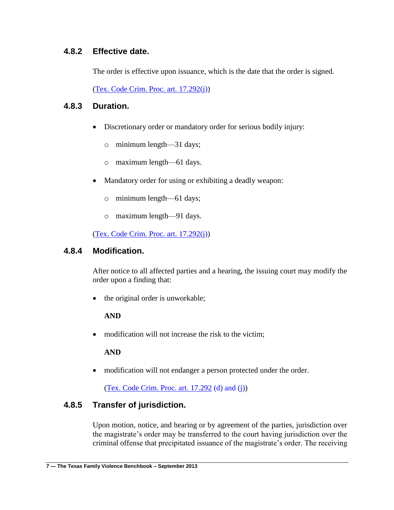# **4.8.2 Effective date.**

The order is effective upon issuance, which is the date that the order is signed.

[\(Tex. Code Crim. Proc. art. 17.292\(](http://www.lexis.com/research/slft?cite=5465782E20436F6465204372696D2E2050726F632E206172742E2031372E323932&keyenum=15452&keytnum=0)j))

# **4.8.3 Duration.**

- Discretionary order or mandatory order for serious bodily injury:
	- o minimum length—31 days;
	- o maximum length—61 days.
- Mandatory order for using or exhibiting a deadly weapon:
	- o minimum length—61 days;
	- o maximum length—91 days.

[\(Tex. Code Crim. Proc. art. 17.292\(](http://www.lexis.com/research/slft?cite=5465782E20436F6465204372696D2E2050726F632E206172742E2031372E323932&keyenum=15452&keytnum=0)j))

### **4.8.4 Modification.**

After notice to all affected parties and a hearing, the issuing court may modify the order upon a finding that:

• the original order is unworkable;

### **AND**

• modification will not increase the risk to the victim:

**AND**

modification will not endanger a person protected under the order.

[\(Tex. Code Crim. Proc. art. 17.292](http://www.lexis.com/research/slft?cite=5465782E20436F6465204372696D2E2050726F632E206172742E2031372E323932&keyenum=15452&keytnum=0) (d) and (j))

# **4.8.5 Transfer of jurisdiction.**

Upon motion, notice, and hearing or by agreement of the parties, jurisdiction over the magistrate's order may be transferred to the court having jurisdiction over the criminal offense that precipitated issuance of the magistrate's order. The receiving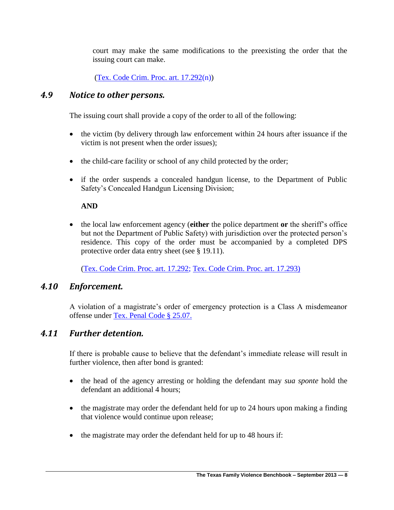court may make the same modifications to the preexisting the order that the issuing court can make.

[\(Tex. Code Crim. Proc. art. 17.292\(](http://www.lexis.com/research/slft?cite=5465782E20436F6465204372696D2E2050726F632E206172742E2031372E323932&keyenum=15452&keytnum=0)n))

# *4.9 Notice to other persons.*

The issuing court shall provide a copy of the order to all of the following:

- the victim (by delivery through law enforcement within 24 hours after issuance if the victim is not present when the order issues);
- the child-care facility or school of any child protected by the order;
- if the order suspends a concealed handgun license, to the Department of Public Safety's Concealed Handgun Licensing Division;

### **AND**

 the local law enforcement agency (**either** the police department **or** the sheriff's office but not the Department of Public Safety) with jurisdiction over the protected person's residence. This copy of the order must be accompanied by a completed DPS protective order data entry sheet (see § 19.11).

[\(Tex. Code Crim. Proc. art. 17.292;](http://www.lexis.com/research/slft?cite=5465782E20436F6465204372696D2E2050726F632E206172742E2031372E323932&keyenum=15452&keytnum=0) [Tex. Code Crim. Proc. art. 17.293\)](http://www.lexis.com/research/slft?cite=5465782E20436F6465204372696D2E2050726F632E206172742E2031372E32393329&keyenum=15452&keytnum=0)

# *4.10 Enforcement.*

A violation of a magistrate's order of emergency protection is a Class A misdemeanor offense under [Tex. Penal Code § 25.07.](http://www.lexis.com/research/slft?cite=54582050656E616C20436F646520A72032352E30372E&keyenum=15452&keytnum=0)

# *4.11 Further detention.*

If there is probable cause to believe that the defendant's immediate release will result in further violence, then after bond is granted:

- the head of the agency arresting or holding the defendant may *sua sponte* hold the defendant an additional 4 hours;
- the magistrate may order the defendant held for up to 24 hours upon making a finding that violence would continue upon release;
- the magistrate may order the defendant held for up to 48 hours if: